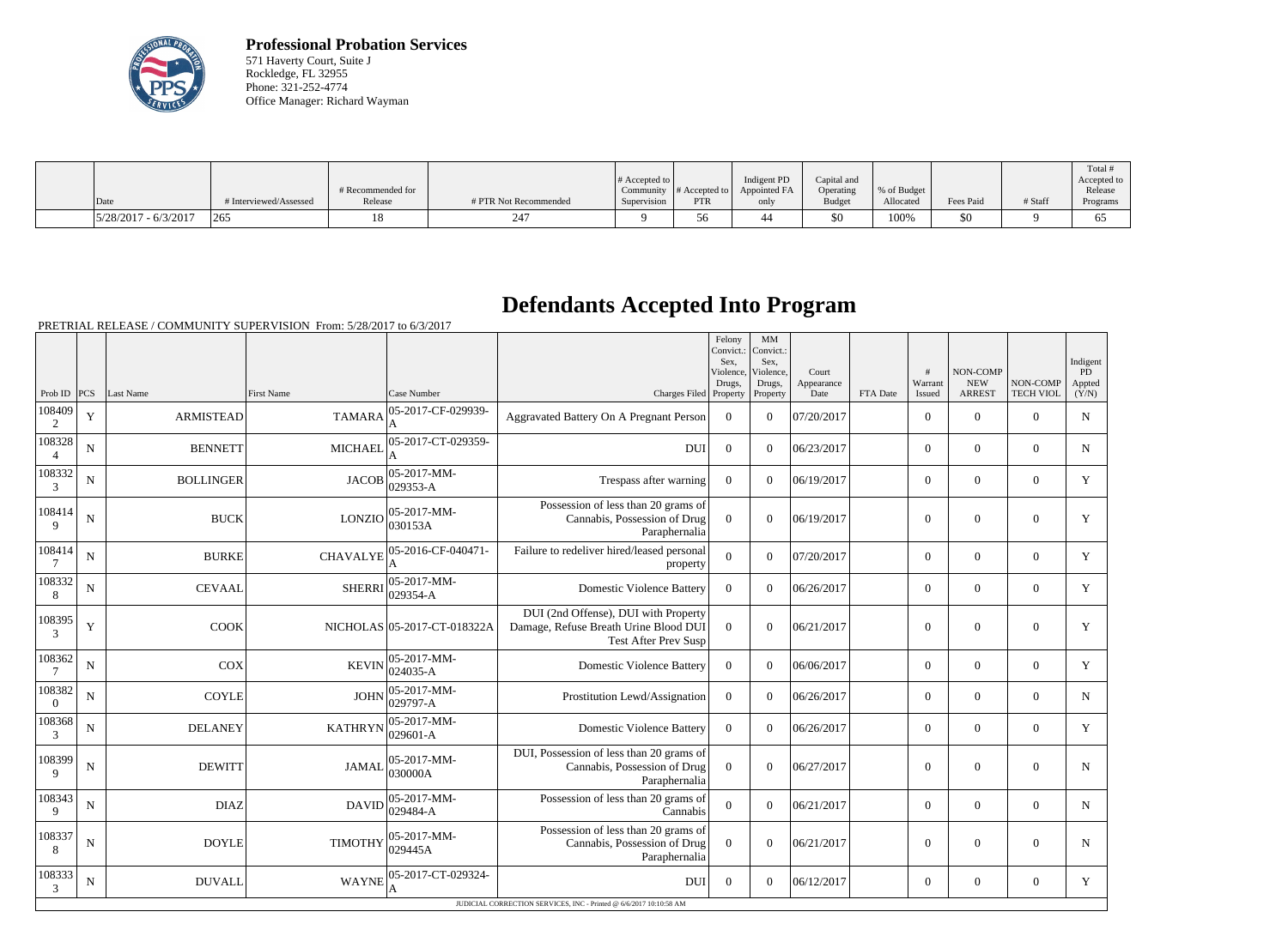

**Professional Probation Services** 571 Haverty Court, Suite J Rockledge, FL 32955 Phone: 321-252-4774 Office Manager: Richard Wayman

|                          |                        | # Recommended for |                       | $\#$ Accepted to $\ $ | Community $ #$ Accepted to $ $ | Indigent PD<br>Appointed FA | Capital and<br>Operating | % of Budget |           |         | Total<br>Accepted to<br>Release |
|--------------------------|------------------------|-------------------|-----------------------|-----------------------|--------------------------------|-----------------------------|--------------------------|-------------|-----------|---------|---------------------------------|
| Date                     | # Interviewed/Assessed | Release           | # PTR Not Recommended | Supervision           | <b>PTR</b>                     | only                        | Budget                   | Allocated   | Fees Paid | # Staff | Programs                        |
| $ 5/28/2017 - 6/3/2017 $ | 265                    |                   | $24^{\circ}$          | $\mathbf{\Omega}$     |                                | 44                          | \$0                      | 100%        | \$0       |         | O                               |

## **Defendants Accepted Into Program**

|                          |             |                  |                   |                             |                                                                                                              | Felony<br>Convict.:<br>Sex.<br>Violence,<br>Drugs, | MM<br>Convict.:<br>Sex.<br>Violence,<br>Drugs, | Court<br>Appearance |          | #<br>Warrant   | NON-COMP<br><b>NEW</b> | NON-COMP         | Indigent<br>$\overline{PD}$<br>Appted |
|--------------------------|-------------|------------------|-------------------|-----------------------------|--------------------------------------------------------------------------------------------------------------|----------------------------------------------------|------------------------------------------------|---------------------|----------|----------------|------------------------|------------------|---------------------------------------|
| Prob ID $ PCS $          |             | Last Name        | <b>First Name</b> | Case Number                 | Charges Filed Property                                                                                       |                                                    | Property                                       | Date                | FTA Date | Issued         | <b>ARREST</b>          | <b>TECH VIOL</b> | (Y/N)                                 |
| 108409<br>2              | $\mathbf Y$ | <b>ARMISTEAD</b> | <b>TAMARA</b>     | 05-2017-CF-029939-          | Aggravated Battery On A Pregnant Person                                                                      | $\overline{0}$                                     | $\Omega$                                       | 07/20/2017          |          | $\overline{0}$ | $\mathbf{0}$           | $\mathbf{0}$     | ${\bf N}$                             |
| 108328<br>$\overline{4}$ | ${\bf N}$   | <b>BENNETT</b>   | <b>MICHAEL</b>    | 05-2017-CT-029359-          | <b>DUI</b>                                                                                                   | $\mathbf{0}$                                       | $\overline{0}$                                 | 06/23/2017          |          | $\overline{0}$ | $\mathbf{0}$           | $\mathbf{0}$     | $\mathbf N$                           |
| 108332<br>3              | $\mathbf N$ | <b>BOLLINGER</b> | <b>JACOB</b>      | 05-2017-MM-<br>029353-A     | Trespass after warning                                                                                       | $\mathbf{0}$                                       | $\overline{0}$                                 | 06/19/2017          |          | $\overline{0}$ | $\mathbf{0}$           | $\overline{0}$   | Y                                     |
| 108414<br>9              | ${\bf N}$   | <b>BUCK</b>      | <b>LONZIO</b>     | 05-2017-MM-<br>030153A      | Possession of less than 20 grams of<br>Cannabis, Possession of Drug<br>Paraphernalia                         | $\Omega$                                           | $\theta$                                       | 06/19/2017          |          | $\overline{0}$ | $\overline{0}$         | $\overline{0}$   | Y                                     |
| 108414                   | ${\bf N}$   | <b>BURKE</b>     | <b>CHAVALYE</b>   | 05-2016-CF-040471-          | Failure to redeliver hired/leased personal<br>property                                                       | $\overline{0}$                                     | $\Omega$                                       | 07/20/2017          |          | $\overline{0}$ | $\mathbf{0}$           | $\overline{0}$   | Y                                     |
| 108332<br>$8\phantom{.}$ | ${\bf N}$   | <b>CEVAAL</b>    | <b>SHERRI</b>     | $05-2017-MM$ -<br>029354-A  | <b>Domestic Violence Battery</b>                                                                             | $\boldsymbol{0}$                                   | $\overline{0}$                                 | 06/26/2017          |          | $\overline{0}$ | $\boldsymbol{0}$       | $\overline{0}$   | Y                                     |
| 108395<br>3              | $\mathbf Y$ | COOK             |                   | NICHOLAS 05-2017-CT-018322A | DUI (2nd Offense), DUI with Property<br>Damage, Refuse Breath Urine Blood DUI<br><b>Test After Prev Susp</b> | $\mathbf{0}$                                       | $\overline{0}$                                 | 06/21/2017          |          | $\overline{0}$ | $\mathbf{0}$           | $\mathbf{0}$     | Y                                     |
| 108362                   | $\mathbf N$ | COX              | <b>KEVIN</b>      | $05-2017-MM$ -<br>024035-A  | <b>Domestic Violence Battery</b>                                                                             | $\overline{0}$                                     | $\Omega$                                       | 06/06/2017          |          | $\overline{0}$ | $\boldsymbol{0}$       | $\overline{0}$   | Y                                     |
| 108382<br>$\theta$       | $\mathbf N$ | <b>COYLE</b>     | <b>JOHN</b>       | $ 05-2017-MM-$<br>029797-A  | Prostitution Lewd/Assignation                                                                                | $\overline{0}$                                     | $\Omega$                                       | 06/26/2017          |          | $\overline{0}$ | $\theta$               | $\overline{0}$   | $\mathbf N$                           |
| 108368<br>3              | $\mathbf N$ | <b>DELANEY</b>   | <b>KATHRYN</b>    | 05-2017-MM-<br>$ 029601-A$  | <b>Domestic Violence Battery</b>                                                                             | $\boldsymbol{0}$                                   | $\Omega$                                       | 06/26/2017          |          | $\overline{0}$ | $\boldsymbol{0}$       | $\overline{0}$   | Y                                     |
| 108399<br>9              | ${\bf N}$   | <b>DEWITT</b>    | <b>JAMAL</b>      | $ 05-2017-MM-$<br>030000A   | DUI, Possession of less than 20 grams of<br>Cannabis, Possession of Drug<br>Paraphernalia                    | $\overline{0}$                                     | $\theta$                                       | 06/27/2017          |          | $\overline{0}$ | $\theta$               | $\Omega$         | N                                     |
| 108343<br>9              | $\mathbf N$ | <b>DIAZ</b>      | <b>DAVID</b>      | 05-2017-MM-<br>$029484 - A$ | Possession of less than 20 grams of<br>Cannabis                                                              | $\overline{0}$                                     | $\Omega$                                       | 06/21/2017          |          | $\overline{0}$ | $\boldsymbol{0}$       | $\mathbf{0}$     | ${\bf N}$                             |
| 108337<br>8              | ${\bf N}$   | <b>DOYLE</b>     | <b>TIMOTHY</b>    | $05-2017-MM$ -<br>029445A   | Possession of less than 20 grams of<br>Cannabis, Possession of Drug<br>Paraphernalia                         | $\mathbf{0}$                                       | $\overline{0}$                                 | 06/21/2017          |          | $\overline{0}$ | $\mathbf{0}$           | $\mathbf{0}$     | N                                     |
| 108333<br>3              | $\mathbf N$ | <b>DUVALL</b>    | <b>WAYNE</b>      | 05-2017-CT-029324-          | DUI                                                                                                          | $\theta$                                           | $\Omega$                                       | 06/12/2017          |          | $\overline{0}$ | $\mathbf{0}$           | $\overline{0}$   | Y                                     |
|                          |             |                  |                   |                             | JUDICIAL CORRECTION SERVICES, INC - Printed @ 6/6/2017 10:10:58 AM                                           |                                                    |                                                |                     |          |                |                        |                  |                                       |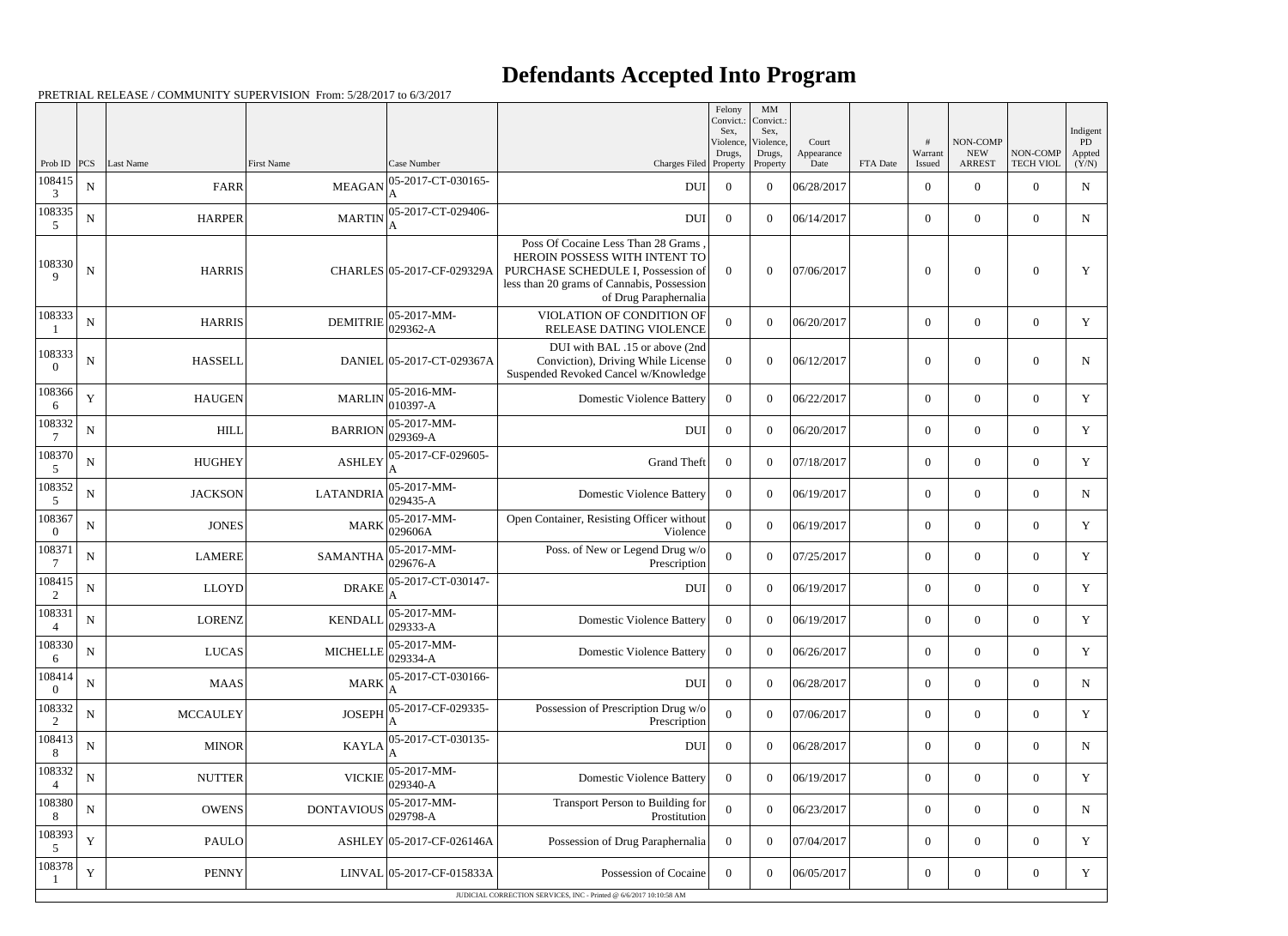## **Defendants Accepted Into Program**

|                          |             |                 |                                       |                                                                                     |                                                                                                                                                                                  | Felony<br>Convict.:<br>Sex,     | $\mathbf{M}\mathbf{M}$<br>Convict.:<br>Sex, |                             |          |                   |                                         |                              | Indigent                           |
|--------------------------|-------------|-----------------|---------------------------------------|-------------------------------------------------------------------------------------|----------------------------------------------------------------------------------------------------------------------------------------------------------------------------------|---------------------------------|---------------------------------------------|-----------------------------|----------|-------------------|-----------------------------------------|------------------------------|------------------------------------|
| Prob ID                  | <b>PCS</b>  | Last Name       | First Name                            | Case Number                                                                         | Charges Filed                                                                                                                                                                    | Violence,<br>Drugs,<br>Property | Violence,<br>Drugs,                         | Court<br>Appearance<br>Date | FTA Date | Warrant<br>Issued | NON-COMP<br><b>NEW</b><br><b>ARREST</b> | NON-COMP<br><b>TECH VIOL</b> | $\overline{PD}$<br>Appted<br>(Y/N) |
| 108415<br>3              | ${\bf N}$   | FARR            | <b>MEAGAN</b>                         | 05-2017-CT-030165-<br>A                                                             | <b>DUI</b>                                                                                                                                                                       | $\boldsymbol{0}$                | Property<br>$\overline{0}$                  | 06/28/2017                  |          | $\overline{0}$    | $\overline{0}$                          | $\Omega$                     | ${\bf N}$                          |
| 108335<br>.5             | ${\bf N}$   | <b>HARPER</b>   | <b>MARTIN</b>                         | 05-2017-CT-029406-<br>A                                                             | <b>DUI</b>                                                                                                                                                                       | $\overline{0}$                  | $\theta$                                    | 06/14/2017                  |          | $\overline{0}$    | $\overline{0}$                          | $\overline{0}$               | $\mathbf N$                        |
| 108330<br>9              | ${\bf N}$   | <b>HARRIS</b>   |                                       | CHARLES 05-2017-CF-029329A                                                          | Poss Of Cocaine Less Than 28 Grams<br>HEROIN POSSESS WITH INTENT TO<br>PURCHASE SCHEDULE I, Possession of<br>less than 20 grams of Cannabis, Possession<br>of Drug Paraphernalia | $\Omega$                        | $\theta$                                    | 07/06/2017                  |          | $\overline{0}$    | $\theta$                                | $\Omega$                     | $\mathbf Y$                        |
| 108333                   | ${\bf N}$   | <b>HARRIS</b>   | <b>DEMITRIE</b>                       | $ 05-2017-MM-$<br>$ 029362 - A$                                                     | VIOLATION OF CONDITION OF<br>RELEASE DATING VIOLENCE                                                                                                                             | $\overline{0}$                  | $\overline{0}$                              | 06/20/2017                  |          | $\overline{0}$    | $\overline{0}$                          | $\overline{0}$               | Y                                  |
| 108333<br>$\Omega$       | ${\bf N}$   | <b>HASSELL</b>  |                                       | DANIEL 05-2017-CT-029367A                                                           | DUI with BAL .15 or above (2nd<br>Conviction), Driving While License<br>Suspended Revoked Cancel w/Knowledge                                                                     | $\boldsymbol{0}$                | $\theta$                                    | 06/12/2017                  |          | $\boldsymbol{0}$  | $\boldsymbol{0}$                        | $\overline{0}$               | N                                  |
| 108366<br>6              | Y           | <b>HAUGEN</b>   |                                       | MARLIN $\begin{array}{ l} 05\text{-}2016\text{-}MM- \\ 010397\text{-}A \end{array}$ | <b>Domestic Violence Battery</b>                                                                                                                                                 | $\overline{0}$                  | $\overline{0}$                              | 06/22/2017                  |          | $\overline{0}$    | $\mathbf{0}$                            | $\overline{0}$               | Y                                  |
| 108332                   | ${\bf N}$   | <b>HILL</b>     | <b>BARRION</b>                        | $ 05-2017-MM-$<br>$ 029369-A$                                                       | <b>DUI</b>                                                                                                                                                                       | $\overline{0}$                  | $\overline{0}$                              | 06/20/2017                  |          | $\overline{0}$    | $\overline{0}$                          | $\overline{0}$               | $\mathbf Y$                        |
| 108370<br>5              | ${\bf N}$   | <b>HUGHEY</b>   | <b>ASHLEY</b>                         | 05-2017-CF-029605-                                                                  | <b>Grand Theft</b>                                                                                                                                                               | $\overline{0}$                  | $\Omega$                                    | 07/18/2017                  |          | $\overline{0}$    | $\mathbf{0}$                            | $\overline{0}$               | Y                                  |
| 108352<br>5              | ${\bf N}$   | <b>JACKSON</b>  | LATANDRIA $\vert_{029435}^{\circ}$ -A | $ 05-2017-MM-$                                                                      | <b>Domestic Violence Battery</b>                                                                                                                                                 | $\overline{0}$                  | $\theta$                                    | 06/19/2017                  |          | $\overline{0}$    | $\overline{0}$                          | $\overline{0}$               | N                                  |
| 108367<br>$\Omega$       | ${\bf N}$   | <b>JONES</b>    |                                       | $ 05-2017-MM-$<br>$MARK$ 029606A                                                    | Open Container, Resisting Officer without<br>Violence                                                                                                                            | $\mathbf{0}$                    | $\overline{0}$                              | 06/19/2017                  |          | $\overline{0}$    | $\overline{0}$                          | $\overline{0}$               | Y                                  |
| 108371                   | ${\bf N}$   | <b>LAMERE</b>   | SAMANTHA $\vert_{029676}^{\infty}$ -  | $ 05-2017-MM-$                                                                      | Poss. of New or Legend Drug w/o<br>Prescription                                                                                                                                  | $\mathbf{0}$                    | $\overline{0}$                              | 07/25/2017                  |          | $\overline{0}$    | $\overline{0}$                          | $\overline{0}$               | $\mathbf Y$                        |
| 108415<br>2              | ${\bf N}$   | <b>LLOYD</b>    | <b>DRAKE</b>                          | 05-2017-CT-030147-                                                                  | <b>DUI</b>                                                                                                                                                                       | $\overline{0}$                  | $\overline{0}$                              | 06/19/2017                  |          | $\overline{0}$    | $\mathbf{0}$                            | $\overline{0}$               | Y                                  |
| 108331<br>4              | ${\bf N}$   | <b>LORENZ</b>   |                                       | KENDALL $\begin{bmatrix} 05 - 2017 - MM \\ 029333 - A \end{bmatrix}$                | <b>Domestic Violence Battery</b>                                                                                                                                                 | $\overline{0}$                  | $\overline{0}$                              | 06/19/2017                  |          | $\mathbf{0}$      | $\overline{0}$                          | $\overline{0}$               | Y                                  |
| 108330<br>6              | ${\bf N}$   | <b>LUCAS</b>    | <b>MICHELLE</b>                       | $ 05-2017-MM-$<br>$ 029334 - A$                                                     | <b>Domestic Violence Battery</b>                                                                                                                                                 | $\overline{0}$                  | $\boldsymbol{0}$                            | 06/26/2017                  |          | $\overline{0}$    | $\mathbf{0}$                            | $\mathbf{0}$                 | Y                                  |
| 108414<br>$\Omega$       | ${\bf N}$   | <b>MAAS</b>     | <b>MARK</b>                           | 05-2017-CT-030166-                                                                  | <b>DUI</b>                                                                                                                                                                       | $\overline{0}$                  | $\overline{0}$                              | 06/28/2017                  |          | $\overline{0}$    | $\mathbf{0}$                            | $\overline{0}$               | N                                  |
| 108332<br>2              | ${\bf N}$   | <b>MCCAULEY</b> | <b>JOSEPH</b>                         | 05-2017-CF-029335-                                                                  | Possession of Prescription Drug w/o<br>Prescription                                                                                                                              | $\overline{0}$                  | $\boldsymbol{0}$                            | 07/06/2017                  |          | $\overline{0}$    | $\overline{0}$                          | $\overline{0}$               | Y                                  |
| 108413<br>8              | ${\bf N}$   | <b>MINOR</b>    | <b>KAYLA</b>                          | 05-2017-CT-030135-                                                                  | <b>DUI</b>                                                                                                                                                                       | $\overline{0}$                  | $\boldsymbol{0}$                            | 06/28/2017                  |          | $\overline{0}$    | $\overline{0}$                          | $\overline{0}$               | N                                  |
| 108332<br>$\overline{4}$ | ${\bf N}$   | <b>NUTTER</b>   | <b>VICKIE</b>                         | $ 05-2017-MM-$<br>$ 029340 - A$                                                     | <b>Domestic Violence Battery</b>                                                                                                                                                 | $\overline{0}$                  | $\overline{0}$                              | 06/19/2017                  |          | $\overline{0}$    | $\mathbf{0}$                            | $\mathbf{0}$                 | Y                                  |
| 108380<br>8              | ${\bf N}$   | <b>OWENS</b>    | <b>DONTAVIOUS</b>                     | 05-2017-MM-<br>$ 029798-A$                                                          | Transport Person to Building for<br>Prostitution                                                                                                                                 | $\overline{0}$                  | $\theta$                                    | 06/23/2017                  |          | $\overline{0}$    | $\overline{0}$                          | $\overline{0}$               | N                                  |
| 108393<br>5              | $\mathbf Y$ | <b>PAULO</b>    |                                       | ASHLEY 05-2017-CF-026146A                                                           | Possession of Drug Paraphernalia                                                                                                                                                 | $\overline{0}$                  | $\boldsymbol{0}$                            | 07/04/2017                  |          | $\overline{0}$    | $\boldsymbol{0}$                        | $\overline{0}$               | Y                                  |
| 108378                   | $\mathbf Y$ | <b>PENNY</b>    |                                       | LINVAL 05-2017-CF-015833A                                                           | Possession of Cocaine                                                                                                                                                            | $\overline{0}$                  | $\overline{0}$                              | 06/05/2017                  |          | $\overline{0}$    | $\overline{0}$                          | $\overline{0}$               | Y                                  |
|                          |             |                 |                                       |                                                                                     | JUDICIAL CORRECTION SERVICES, INC - Printed @ 6/6/2017 10:10:58 AM                                                                                                               |                                 |                                             |                             |          |                   |                                         |                              |                                    |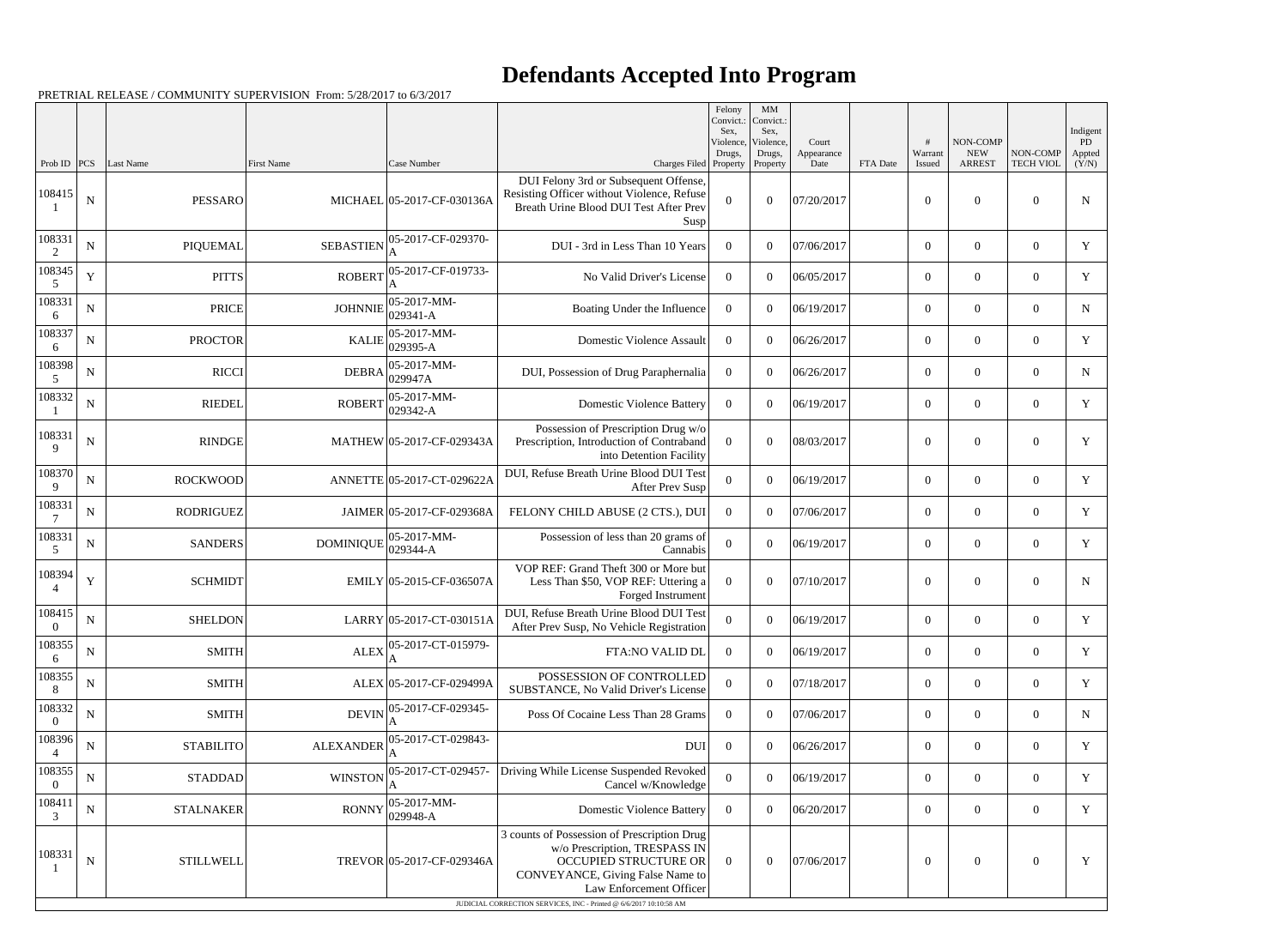## **Defendants Accepted Into Program**

|                            |             |                  |                  |                             |                                                                                                                                                                                                                                            | Felony<br>Convict.:<br>Sex,<br>Violence,<br>Drugs, | MM<br>Convict.:<br>Sex,<br>Violence,<br>Drugs, | Court<br>Appearance |          | Warrant          | NON-COMP<br><b>NEW</b> | NON-COMP         | Indigent<br>PD<br>Appted |
|----------------------------|-------------|------------------|------------------|-----------------------------|--------------------------------------------------------------------------------------------------------------------------------------------------------------------------------------------------------------------------------------------|----------------------------------------------------|------------------------------------------------|---------------------|----------|------------------|------------------------|------------------|--------------------------|
| Prob ID $ PCS $            |             | Last Name        | First Name       | Case Number                 | Charges Filed Property                                                                                                                                                                                                                     |                                                    | Property                                       | Date                | FTA Date | Issued           | <b>ARREST</b>          | <b>TECH VIOL</b> | (Y/N)                    |
| 108415                     | $\mathbf N$ | PESSARO          |                  | MICHAEL 05-2017-CF-030136A  | DUI Felony 3rd or Subsequent Offense,<br>Resisting Officer without Violence, Refuse<br>Breath Urine Blood DUI Test After Prev<br>Susp                                                                                                      | $\mathbf{0}$                                       | $\Omega$                                       | 07/20/2017          |          | $\theta$         | $\overline{0}$         | $\overline{0}$   | $\mathbf N$              |
| 108331<br>2                | ${\bf N}$   | PIQUEMAL         | <b>SEBASTIEN</b> | 05-2017-CF-029370-          | DUI - 3rd in Less Than 10 Years                                                                                                                                                                                                            | $\Omega$                                           | $\overline{0}$                                 | 07/06/2017          |          | $\overline{0}$   | $\overline{0}$         | $\overline{0}$   | Y                        |
| 108345<br>5                | $\mathbf Y$ | <b>PITTS</b>     | <b>ROBERT</b>    | 05-2017-CF-019733-          | No Valid Driver's License                                                                                                                                                                                                                  | $\overline{0}$                                     | $\theta$                                       | 06/05/2017          |          | $\overline{0}$   | $\overline{0}$         | $\overline{0}$   | Y                        |
| 108331<br>6                | $\mathbf N$ | <b>PRICE</b>     | <b>JOHNNIE</b>   | 05-2017-MM-<br>029341-A     | Boating Under the Influence                                                                                                                                                                                                                | $\overline{0}$                                     | $\overline{0}$                                 | 06/19/2017          |          | $\overline{0}$   | $\overline{0}$         | $\overline{0}$   | $\mathbf N$              |
| 108337<br>6                | ${\bf N}$   | <b>PROCTOR</b>   | <b>KALIE</b>     | 05-2017-MM-<br>029395-A     | Domestic Violence Assault                                                                                                                                                                                                                  | $\overline{0}$                                     | $\theta$                                       | 06/26/2017          |          | $\overline{0}$   | $\overline{0}$         | $\overline{0}$   | $\mathbf Y$              |
| 108398<br>5                | $\mathbf N$ | <b>RICCI</b>     | <b>DEBRA</b>     | 05-2017-MM-<br>029947A      | DUI, Possession of Drug Paraphernalia                                                                                                                                                                                                      | $\overline{0}$                                     | $\boldsymbol{0}$                               | 06/26/2017          |          | $\overline{0}$   | $\overline{0}$         | $\overline{0}$   | $\mathbf N$              |
| 108332                     | $\mathbf N$ | <b>RIEDEL</b>    | <b>ROBERT</b>    | 05-2017-MM-<br>$029342 - A$ | <b>Domestic Violence Battery</b>                                                                                                                                                                                                           | $\overline{0}$                                     | $\theta$                                       | 06/19/2017          |          | $\overline{0}$   | $\overline{0}$         | $\overline{0}$   | Y                        |
| 108331<br>9                | ${\bf N}$   | <b>RINDGE</b>    |                  | MATHEW 05-2017-CF-029343A   | Possession of Prescription Drug w/o<br>Prescription, Introduction of Contraband<br>into Detention Facility                                                                                                                                 | $\overline{0}$                                     | $\overline{0}$                                 | 08/03/2017          |          | $\theta$         | $\overline{0}$         | $\boldsymbol{0}$ | Y                        |
| 108370<br>9                | N           | <b>ROCKWOOD</b>  |                  | ANNETTE 05-2017-CT-029622A  | DUI, Refuse Breath Urine Blood DUI Test<br>After Prev Susp                                                                                                                                                                                 | $\boldsymbol{0}$                                   | $\theta$                                       | 06/19/2017          |          | $\overline{0}$   | $\overline{0}$         | $\overline{0}$   | Y                        |
| 108331<br>7                | ${\bf N}$   | <b>RODRIGUEZ</b> |                  | JAIMER 05-2017-CF-029368A   | FELONY CHILD ABUSE (2 CTS.), DUI                                                                                                                                                                                                           | $\overline{0}$                                     | $\overline{0}$                                 | 07/06/2017          |          | $\overline{0}$   | $\overline{0}$         | $\overline{0}$   | Y                        |
| 108331<br>5                | ${\bf N}$   | <b>SANDERS</b>   | <b>DOMINIQUE</b> | 05-2017-MM-<br>029344-A     | Possession of less than 20 grams of<br>Cannabis                                                                                                                                                                                            | $\boldsymbol{0}$                                   | $\theta$                                       | 06/19/2017          |          | $\overline{0}$   | $\overline{0}$         | $\overline{0}$   | $\mathbf Y$              |
| 108394<br>$\overline{4}$   | Y           | <b>SCHMIDT</b>   |                  | $EMILY$ 05-2015-CF-036507A  | VOP REF: Grand Theft 300 or More but<br>Less Than \$50, VOP REF: Uttering a<br>Forged Instrument                                                                                                                                           | $\overline{0}$                                     | $\Omega$                                       | 07/10/2017          |          | $\theta$         | $\overline{0}$         | $\overline{0}$   | $\mathbf N$              |
| 108415<br>$\boldsymbol{0}$ | ${\bf N}$   | <b>SHELDON</b>   |                  | LARRY 05-2017-CT-030151A    | DUI, Refuse Breath Urine Blood DUI Test<br>After Prev Susp, No Vehicle Registration                                                                                                                                                        | $\boldsymbol{0}$                                   | $\overline{0}$                                 | 06/19/2017          |          | $\overline{0}$   | $\overline{0}$         | $\overline{0}$   | Y                        |
| 108355<br>6                | ${\bf N}$   | <b>SMITH</b>     | <b>ALEX</b>      | 05-2017-CT-015979-          | FTA:NO VALID DL                                                                                                                                                                                                                            | $\overline{0}$                                     | $\boldsymbol{0}$                               | 06/19/2017          |          | $\overline{0}$   | $\overline{0}$         | $\overline{0}$   | $\mathbf Y$              |
| 108355<br>8                | ${\bf N}$   | <b>SMITH</b>     |                  | ALEX 05-2017-CF-029499A     | POSSESSION OF CONTROLLED<br>SUBSTANCE, No Valid Driver's License                                                                                                                                                                           | $\boldsymbol{0}$                                   | $\overline{0}$                                 | 07/18/2017          |          | $\overline{0}$   | $\overline{0}$         | $\boldsymbol{0}$ | Y                        |
| 108332<br>$\Omega$         | ${\bf N}$   | <b>SMITH</b>     | <b>DEVIN</b>     | 05-2017-CF-029345-          | Poss Of Cocaine Less Than 28 Grams                                                                                                                                                                                                         | $\overline{0}$                                     | $\overline{0}$                                 | 07/06/2017          |          | $\overline{0}$   | $\overline{0}$         | $\overline{0}$   | $\mathbf N$              |
| 108396                     | ${\bf N}$   | <b>STABILITO</b> | <b>ALEXANDER</b> | 05-2017-CT-029843-          | <b>DUI</b>                                                                                                                                                                                                                                 | $\overline{0}$                                     | $\boldsymbol{0}$                               | 06/26/2017          |          | $\boldsymbol{0}$ | $\overline{0}$         | $\boldsymbol{0}$ | $\mathbf Y$              |
| 108355<br>$\overline{0}$   | ${\bf N}$   | <b>STADDAD</b>   | <b>WINSTON</b>   | 05-2017-CT-029457-          | Driving While License Suspended Revoked<br>Cancel w/Knowledge                                                                                                                                                                              | $\overline{0}$                                     | $\boldsymbol{0}$                               | 06/19/2017          |          | $\overline{0}$   | $\overline{0}$         | $\overline{0}$   | $\mathbf Y$              |
| 108411<br>3                | $\mathbf N$ | <b>STALNAKER</b> | <b>RONNY</b>     | 05-2017-MM-<br>029948-A     | <b>Domestic Violence Battery</b>                                                                                                                                                                                                           | $\overline{0}$                                     | $\overline{0}$                                 | 06/20/2017          |          | $\overline{0}$   | $\overline{0}$         | $\overline{0}$   | Y                        |
| 108331                     | ${\bf N}$   | <b>STILLWELL</b> |                  | TREVOR 05-2017-CF-029346A   | 3 counts of Possession of Prescription Drug<br>w/o Prescription, TRESPASS IN<br>OCCUPIED STRUCTURE OR<br>CONVEYANCE, Giving False Name to<br>Law Enforcement Officer<br>JUDICIAL CORRECTION SERVICES, INC - Printed @ 6/6/2017 10:10:58 AM | $\overline{0}$                                     | $\overline{0}$                                 | 07/06/2017          |          | $\boldsymbol{0}$ | $\mathbf{0}$           | $\boldsymbol{0}$ | Y                        |